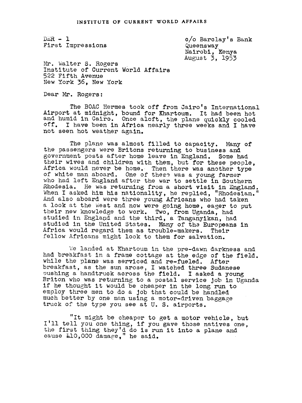$DER - 1$ First Impressions

c/o Barclay' s Bank Queenswax Nairobl, Kenya August 3, 1953

Mr. Walter S. Rogers Institute of Current World Affairs 522 Fifth Avenue New York 36, New York

Dear Mr. Rogers:

The BOAC Hermes took off from Cairo's International Airport at midnight, bound for Khartoum. It had been hot and humid in Cairo. Once aloft, the plane quickly cooled off. I have been in Africa nearly three weeks and I have not seen hot weather again.

The plane was almost filled to capacity. Many of the passengers were Britons returning to business and government posts after home leave in England. Some had their wives and children with them, but for these people, Africa would never be home. Then there was another type of white man aboard. One of thes9 was a young farmer who had left England after the war to settle in Southern Rhodesia. He was returning from a short visit in England. When I asked him his nationality, he replied, "Rhodesian." And also aboard were three young Africans who had taken a look at the West and now were going home, eager to put their new knowledge to work. Two, from Uganda, had studied in England and the third, a Tanganyikan, had studied in the United States. Many of ths Europeans in Africa would resard them as trouble-makers. Their fellow Africans might look to them for salvation.

We landed at Khartoum in the pre-dawn darkness and had breakfast in a frame cottage at the edge of the field. while the plane was serviced and re-fueled. After breakfast, as the sun arose, I watched three Sudanese oushing a handtruck across the field. I asked a young Briton who was returning to a postal service Job in Uganda if he thought it would be cheaper in the long run to employ three men to do a Job that could be handled much better by one man using a motor-driven baggage truck of the type you see at U. S. airports.

"It might be cheaper to get a motor vehicle, but I'll tell you one thing, if you gave those natives one, the first thing they'd do is run it into a plane and cause £10,000 damage," he said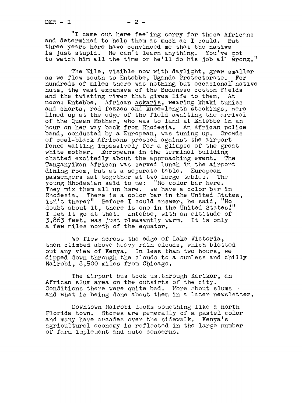"I came out here feeling sorry for these Africans and determined to help them as much as I could. But three years here have convinced me that the native is Just stupid. He can't learn anything. You've got to watch him all the time or he'll do his job all wrong."

The Nile, visible now with daylight, grew smaller as we flew south to Entebbe, Uganda Protectorate. For hundreds of miles there was nothing but occasional native huts, the vast expanses of the Sudanese cotton fields and the twisting river that gives life to them. At noon: Entebbe. African askaris, wearing khaki tunics and shorts, red fezzes and knee-length stockings, were lined up at the edge of the field awaiting the arrival of the Queen Mother, who was to land at Entebbe in an hour on her way back from Rhodesia. An African police band, conducted by a European, was tuning up. Crowds of coal-black Africans pressed against the airport fence waiting impassively for a glimpse of the great white mother. Europeans in the terminal building chatted excitedly about the approaching event. The Tanganyikan African was served lunch in the airport dining room, but at a separate table. European<br>passengers sat together at two large tables. The passengers sat together at two large tables. young Rhodesian said to me: "No color bar here.<br>They mix them all up here. We have a color bar in Rhodesia. There is a color bar in the United States, isn't there?" Before I could answer, he said, "No doubt about it, there is one in the United States!" I let it go at that. Entebbe, with an altitude of 3,863 feet, was Just plasantly warm. It is only a few miles north of the equator.

We flew across the edge of Lake Victoria, then climbed above heavy rain clouds, which blotted out any view of Kenya. In less than two hours, we dipped down through the clouds to a sunless and chilly Nairobi, 8,500 miles from Chicago.

The airport bus took us through Karikor, an African slum area on the outsirts of the city. Conditions there were quite bad. More about slums and what is being done about them in a later newsletter.

Downtown Nairobi looks something like a north Florida town. Stores are generally of a pastel color and many have arcades over the sidewalk. Kenya's agricultural economy is reflected in the large number of farm implement and auto concerns.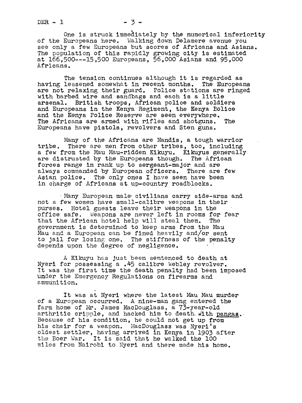$DER - 1$   $-3-$ 

One is struck immediately by the numerical inferiority of the Europeans here. Walking down Delamere avenue you see only a few Europeans but scores of Africans and Asians. The population of this rapidly growing city is estimated at 166,500---15,500 Europeans, 56,000 Asians and 95,000 Africans.

The tension continues although it is regarded as<br>lessened somewhat in recent months. The Europeans having lessened somewhat in recent months. are not relaxing their guard. Police stations are ringed with barbed wire and sandbags and each is a little arsenal. British troops. African police and soldie British troops, African police and soldiers and Europeans in the Kenya Regiment, the Kenya Bolice and the Kenya Police Reserve are seen everywhere. The Africans are armed with rifles and shotguns. The Europeans have pistols, revolvers and Sten suns.

Many of the Africans are Nandis, a tough warrior tribe. There are men from other tribes, too, including a few from the Mau Mau-ridden Kikuyu. Kikuyus generally are distrusted by the Europeans though. The African forces range in rank up to sergeant-major and are always commanded by European officers. There are few Asian police. The only ones I have seen have been in charge of Africans at up-country roadblocks.

Many European male-civilians carry side-arms and not a few women have small-callbre veapons in their purses. Hotel guests leave their weapons in the office safe. Weapons are never left in rooms for fear that the African hotel help will steal them. The government is determined to keep arms from the Mau Mau and a European can be fined heavily and/or sent mad and a European can be fined heavily and/or sent<br>to jail for losing one. The stiffness of the penalty<br>depends upon the degree of negligence.

A Kikuyu has just been sentenced to death at Nyeri for possessing a .45 calibre Webley revolver. It was the first time the death penalty had been imposed Under the Emergency Regulations on firearms and ammuniti on.

It was at Nyeri where the latest Mau Mau murder of a European occurred. A nine-man gang entered the<br>farm home of Mr. James MacDouglass, a 73-year-old farm home of Mr. James MacDouglass, a 73-year-old arthritic cripple, and hacked him to death with pangas. Because of his condition, he could not get up from his chair for a weapon. MacDouglass was Nyeri's oldest settler, having arrived in Kenya in 1903 after the Boer War. It is said that he walked the 100 miles from Nairobi to Nyeri and there made his home.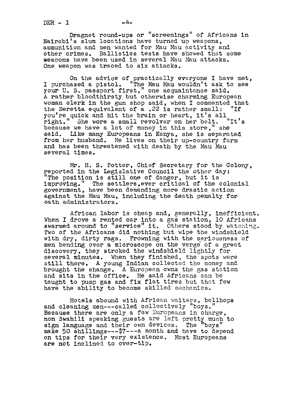$DER - 1$ 

Dragnet round-ups or "screenings" of Africans in Nairobi's slum locations have turned up weapons., ammunition and men wanted for Mau Mau activity and other crimes. Ballistics tests have showed that some weaoons have been used in several Mau Mau attacks. One weapon was traced to six attacks.

On the advice of practically everyone I have met, I purchased a pistol. "The Mau Mau wouldn't ask to see your U. S. passport first," one acquaintance said. A rather bloodthirsty but otherwise charming European woman elerk in the gun shop said, when I commented that the Beretta equivalent of a  $.22$  is rather small: "If the Beretta equivalent of a .22 is rather small: "If you're quick and hit the brain or heart, it's all right." She wore a small revolver on her belt. because we have a lot of money in this store," she said. Like many Europeans in Kenya, she is separated from her husband. He lives on their up-country farm and has been threatened with death by the Mau Mau several times.

Mr. H. S. Potter, Chief Secretary for the Colony, reported in the Legislative Council the other day: "The position is still one of danger, but it is improving." The settlers,ever critical of the colonial government, have been demanding more drastic action against the Mau Mau, including the death penalty for oath administrators.

African labor is cheap and, generally, inefficient. When I drove a rented car into a gas station, 10 Africans swarmed around to "service" it. Others stood by watching. Two of the Africans did nothing but wipe the windshield with dry, dirty rags. Frowning with the seriousness of men bending over a microscope on the verge of a great discovery, they stroked the windshield lightly for several minutes. When they finished, the spots were still there. A young Indian collected the money and brought the change. A European owns the gas station and sits in the office. He said Africans can be taught to pump gas and fix flat tires but that few have the ability to become skilled mechanics.

Hotels abound with African waiters, bellhops and cleaning men---called collectively "boys." Because there are only a few Europeans in charge. non Swahili speaking guests are left pretty much to sign language and their own devices. The "boys" make 50  $\sin 11$  ings---\$7---a month and have to depend on tips for their very existence. Most Europeans are not inclined to over-tlp.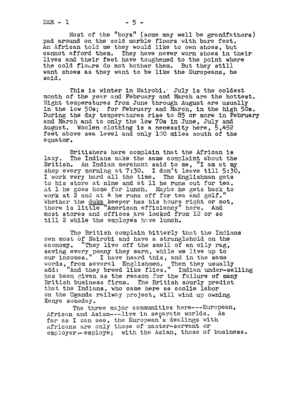$DER - 1$   $-5 -$ 

Most of the "boys!' (some. may well be grandfathers) pad around on the cold marble fIoors with bare feet. An African told me they would like to own shoes, but cannot afford them. They have never worn shoes in their lives and their feet have toughened to the point where the cold floors do not bother them. But they still want shoes as they want to be like the Europeans, he said.

This is winter in Nairobi. July is the coldest month of the year and February and March are the hottest. Night temperatures from June through August are usually in the low 50s; for February and March, in the high 50s. During the day temperatures rise to 85 or more in February and March and to only the low 70s in June, July and August. Woolen clothing is a necessity here, 5,45 feet above sea level and only lO0 miles south of the equator.

Britishers here complain that the African is lazy. The Indians make the same complaint about the British. An Indian merchant said to me, "I am at my shop every morning at 7:30. I don't leave till 5:30. I work very hard all the time. The Englishman gets to his store at nine and at ll he runs out for tea. At 1 he goes home for lunch. Maybe he gets back to work at 2 and at 4 he runs off for tea and golf." Whether the duka keeper has his hours right or not, there is little-"American efficiency" here. And most stores and offices are locked from 12 or so till 2 while the employes have lunch.

The British complain bitterly that the Indians own most of Nairobi and have a stranglehold on the economy. "They live off the smell of an oily rag, saving every penny they earn, while we live up to our incomes." I have heard this, and in the same words, from several Englishmen. Then they usually add: "And they breed like flies." Indian under-sellin has been given as the reason for the failure of many<br>British business firms. The British sourly predict The British sourly predict that the Indians, who came here as coolie labor on the Uganda railway project, will wind up owning Kenya someday.

The three major communities here---European, African and Asian---live in separate worlds. As far as I can see, the European's dealings with Africans are only those of master-servant or  $emploger \leftarrow emplogve;$  with the Asian, those of business.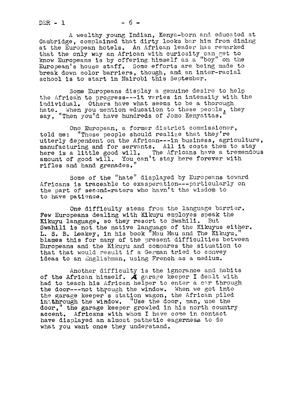$DER - 1$   $-6 -$ 

A wealthy Young Indian, Kenya-born and educated at Cambridge, complained that dirty looks bsr him from dining at the European hotels. An African leader has remarked that the only way an African with curiosity can get to know Europeans is by offering himself as a "boy" on the European's house staff. Some efforts are being made to break down color barriers, though, and an inter-racial school is to start in Nairobi this September.

Some Europeans display a genuine desire to help the African to progress---it varies in intensity with the individual. Others have what seems to be a thorough hate. When you mention education to these people, they say, "Then you'd have hundreds of Jomo Kenvattas

One European, a former district commissioner, told me: "These people should realize that they're utterly dependent on the African---in business, agriculture, manufacturing and for servants. All it costs them to stay here is a little good will. The Africans have a tremendous amount of good will. You can't stay here forever with rifles and hand grenades.

Some of the "hate" displayed by Europeans toward Africans is traceable to exasperation---particularly on the part of second-raters who havn't the wisdom to to have patience.

One difficulty stems from the language barrier. Few Europeans dealing with Kikuyu employes speak the Kikuyu language, so they resort to Swahili. But Swahili is not the native language of the Kikuyus either. L. S. B. Leakey, in his book "Mau Mau and The Kikuyu, blames this for many of the present difficulties between Europeans and the Kikuyu and compares the situation to that that would result if a German tried to convey ideas to an Englishman, using French as a medium.

Another difficulty is the ignorance and habits of the African himself.  $\AA$  garage keeper I dealt with had to teach his African helper to enter a car through the door---not through the window. When we got into the garage keeper's station wagon, the African piled irthhrough the window. "Use the door, man, use the door," the garage keeper growled in his north country accent. Africans with whom <sup>I</sup> have come in contact have displayed an almost pathetic eagerness to do what you want once they understand.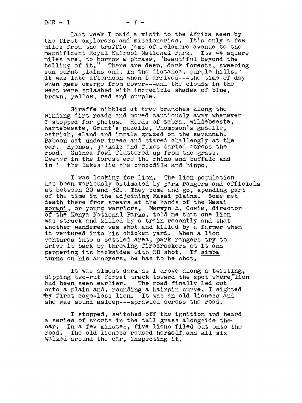$DER - 1$   $-7 -$ 

Last week I paid. a visit to the Africa seen by the first explorers and missionaries. It's only a few miles from the traffic Jams of Delamere avenue to the magnificent Royal Nairobi National Park. Its 44 square miles are, to borrow a phrase, "beautiful beyond the telling of it." There are deep, dark forests, sweeping sun burnt plains and, in the distance, purple hills. It was late afternoon when I arrived---the time of day when game emerge from cover---and the clouds in the west were splashed with incredible shades of blue, brown, yellow, red and purple.

Giraffe nibbled at tree branches along the winding dirt roads and moved cautiously away whenever I stopped for photos. Herds of zebra, wildebeeste, hartebeeste, Grant's gazelle, Thompson's gazelle. ostrich. eland and impala grazed on the savannah. Baboon sat under trees and stared challengly at the car. Hyenas, jackals and foxes darted across the road. Guinea fowl fluttered up from the grass. Deeper in the forest are the rhino and buffalo and in i the lakes lie the crocodile and hippo.

I was looking for lion. The lion population has been variously estimated by park rangers and officials at between 20 and 32. They come and go, spending part of the time in the adjoining Masai plains. Some met death there from spears at the hands of the Masai morani, or young warriors. Mervyn H. Cowie, director of the Kenya National Parks, told me that one lion was. struck and killed by a train recently and that another wanderer was shot and killed by a farmer when it ventured into his chicken vard. When a lion it ventured into his chicken yard. ventures into a settled area, park rangers try to drive it back by throwing firecrackers at it and peppering its backsides with BB shot. If simba turns on his annoyers, he has to be shot.

It was almost dark as I drove along a twisting, dipping two-rut forest track toward the spot where lion had been seen earlier. The road finally led out onto a plain and, rounding a hairpin curve, I sighted y first cage-less lion. It was an old lioness and she was sound asleep---sprawled across the road.

I stopped, switched off the ignition and heard a series of snorts in the tall grass alongside the car. In a few minutes, five lions filed out onto the road. The old lioness roused herself and all six walked around the car, inspecting it.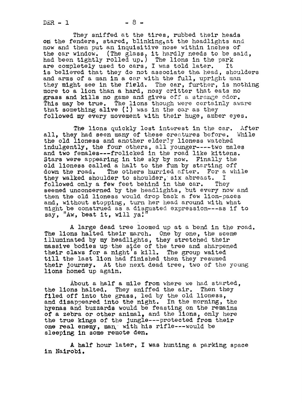$DER - 1$   $-8 -$ 

They sniffed at the tires, rubbed their heads on the fenders, stared, blinking, at the headlights and now and then put an inquisitive nose within inches of the car window. (The glass, it hardly needs to be said, had been tightly rolled up.) The lions in the park are completely used to cars, I was told later. It is believed that they do not associate tha head, shoulders and arms of a man in a car with the full, upright man they might see in the field. The car, further, is nothing more to a lion than a hard, nosy critter that eats no grass and kills no game and gives off a strange odor. This may be true. The lions though were certainly aware that something alive (!) was in the car as they followed my every movement with their huge, amber eyes.

The lions quickly lost interest in the car. After all, they had seen many of these creatures before. While the old lioness and another elderly lioness watched indulgently, the four others, all younger----two males and two females---frolicked in the road like kittens. Stars were appearing in the sky by now. Finally the old lioness called a halt to the fun by starting off down the road. The others hurried after. For a while<br>they walked shoulder to shoulder, six abreast. I they walked shoulder to shoulder, six abreast. I<br>followed only a few feet behind in the car. They followed only a few feet behind in the car. seemed unconcerned by the headlights, but every now and then the old lioness would drop back a few lion-paces and, without stopping, turn her head around with what and, without stopping, turn her head around with what<br>might be construed as a disgusted expression---as if to<br>say, "Aw, beat it, will ya!"

A large dead tree loomed up at a bend in the road. The lions halted their march. One by one, the scene illuminated by my headlights, they stretched their massive bodies up-the side of the tree and sharpened their claws for a night's kill. The group waited till the last lion had finished then they resumed their journey. At the next dead tree, two of the young lions honed up again.

About a half a mile from where we had started, the lions halted. They sniffed the air. Then they filed off into the grass, led by the old lioness, and disappeared into the night. In the morning, the hyenas and buzzards would be feastins on the remains of a zebra or other animal, and the lions, only here the true kings of the jungle---protected from their one real enemy, man with his rifle---would be sleeping in some remote den.

A half hour later, I was hunting a parking space in Nalrobl.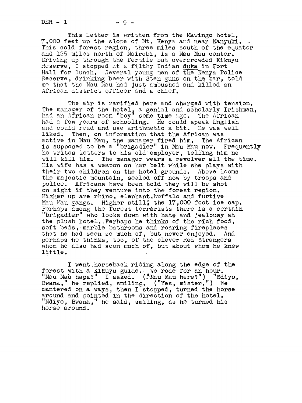$DER - 1$   $-9 -$ 

This letter is written from the Mawingo hotel, 7,000 feet up the slope of Mt. Kenya and near Nanyuki. This cold forest region, three miles south of the equator and 125 miles north of Nairobi, is a Mau Mau center. Driving up through the fertile but overcrowded Kikuyu Reserve, I stopped at a filthy Indian duka in Fort Hall for lunch. Several young men of the Kenya Police Reserve, drinking beer with Sten guns on the bar, told me that the Mau Mau had just ambushed and killed an African district officer and a chief.

The air is rarified here and charged With tension. The manager of the hotel, a genial and scholarly Irishman, had an African room "boy" some time ago. The African<br>had a few years of schooling. He could apoek English had a few years of schooling. He could speak English and could read and use arithmetic a bit. He was well liked. Then, on information that the African was active in Mau Mau, the manager fired him. The African is supposed to be a "brigadier" in Mau Mau now. Frequently he writes letters to his old employer, telling him he will kill him. The manager wears a revolver all the time. His wife has a weapon on her belt while she plays with their two children on the hotel grounds. Above looms the majestic mountain, sealed off now by troops and police. Africans have been told they will be shot on sight if they venture into the forest region. Higher up are rhino, elephant,buffalo and furtive Mau Mau gangs. Higher still; the 17,000 foot ice cap. Perhaps among the forest terrorists there is a certain "brigadier" who looks down with hate and Jealousy at the plush hotel.. Perhaps he thinks of the rich food, soft beds, marble bathrooms and roaring fireplaces<br>that he had seen so much of, but never enjoyed. And that he had seen so much of, but never enjoyed. And perhaps he thinks, too, of the clever Red Stransers whom he also had seen much of, but about whom he knew little.

I went.horseback riding along the edge of the forest with a Kikuyu guide.. We rode for an hour. norest with a hindyd guide. We rode for an hour.<br>"Mau Mau hapa?" I asked. ("Mau Mau here?") "Ndiyo,<br>Bwana," he replied, smiling. ("Yes, mister.") We cantered on a ways, then <sup>I</sup> stopped, turned the horse around and pointed in the direction of the hotel. "Ndiyo, Bwana," he said, smiling, as he turned his horse around.